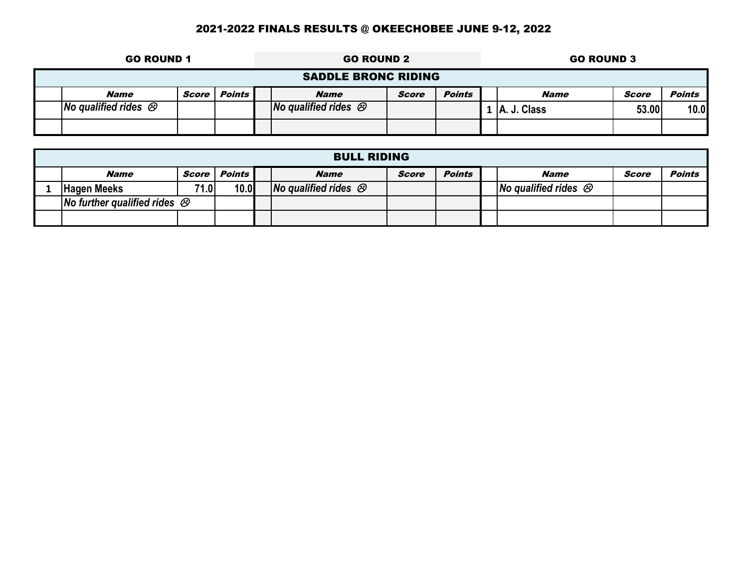|                                 | <b>GO ROUND 1</b>                                   |  |  |  | <b>GO ROUND 2</b>                     |  |  |  | <b>GO ROUND 3</b>                     |       |      |  |  |
|---------------------------------|-----------------------------------------------------|--|--|--|---------------------------------------|--|--|--|---------------------------------------|-------|------|--|--|
|                                 | <b>SADDLE BRONC RIDING</b>                          |  |  |  |                                       |  |  |  |                                       |       |      |  |  |
| Score   Points  <br><b>Name</b> |                                                     |  |  |  | <b>Points</b><br><b>Name</b><br>Score |  |  |  | <b>Points</b><br>Score<br><b>Name</b> |       |      |  |  |
|                                 | <b>No qualified rides <math>\circledcirc</math></b> |  |  |  | No qualified rides $\otimes$          |  |  |  | A. J. Class                           | 53.00 | 10.0 |  |  |
|                                 |                                                     |  |  |  |                                       |  |  |  |                                       |       |      |  |  |

| <b>BULL RIDING</b>                                         |       |        |  |                                                    |       |               |  |                                                    |       |               |  |  |
|------------------------------------------------------------|-------|--------|--|----------------------------------------------------|-------|---------------|--|----------------------------------------------------|-------|---------------|--|--|
| <i><b>Name</b></i>                                         | Score | Points |  | <b>Name</b>                                        | Score | <b>Points</b> |  | <b>Name</b>                                        | Score | <b>Points</b> |  |  |
| <b>Hagen Meeks</b>                                         | 71.0  | 10.0   |  | <b>No qualified rides <math>\varnothing</math></b> |       |               |  | <b>No qualified rides <math>\varnothing</math></b> |       |               |  |  |
| <b>No further qualified rides <math>\varnothing</math></b> |       |        |  |                                                    |       |               |  |                                                    |       |               |  |  |
|                                                            |       |        |  |                                                    |       |               |  |                                                    |       |               |  |  |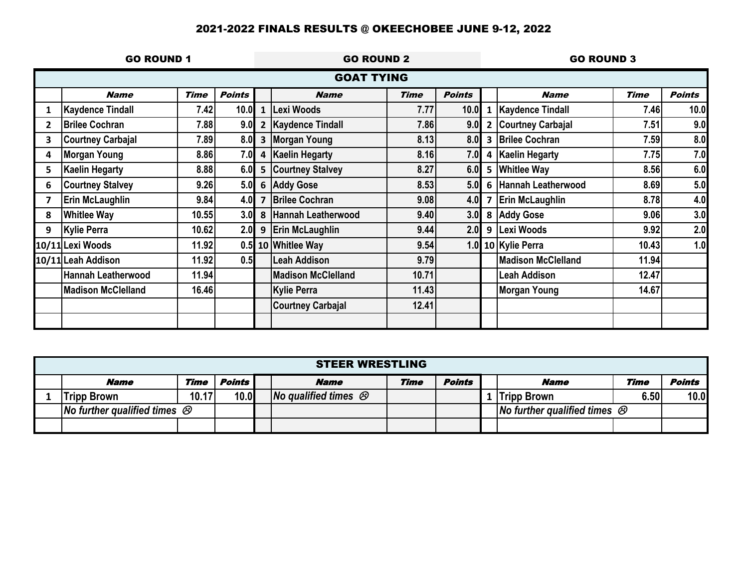|   | <b>GO ROUND 1</b>         |             |               | <b>GO ROUND 2</b>       |                           |             |               |   | <b>GO ROUND 3</b><br><b>Points</b><br><b>Time</b><br><b>Name</b><br>10.0<br>7.46 |       |     |
|---|---------------------------|-------------|---------------|-------------------------|---------------------------|-------------|---------------|---|----------------------------------------------------------------------------------|-------|-----|
|   |                           |             |               |                         | <b>GOAT TYING</b>         |             |               |   |                                                                                  |       |     |
|   | <b>Name</b>               | <b>Time</b> | <b>Points</b> |                         | <b>Name</b>               | <b>Time</b> | <b>Points</b> |   |                                                                                  |       |     |
|   | <b>Kaydence Tindall</b>   | 7.42        | 10.0          | $\mathbf{1}$            | Lexi Woods                | 7.77        | 10.0          | 1 | <b>Kaydence Tindall</b>                                                          |       |     |
| 2 | <b>Brilee Cochran</b>     | 7.88        | 9.0           | $\overline{2}$          | <b>Kaydence Tindall</b>   | 7.86        | 9.0           | 2 | <b>Courtney Carbajal</b>                                                         | 7.51  | 9.0 |
| 3 | <b>Courtney Carbajal</b>  | 7.89        | 8.0           | $\overline{\mathbf{3}}$ | <b>Morgan Young</b>       | 8.13        | 8.0           | 3 | <b>Brilee Cochran</b>                                                            | 7.59  | 8.0 |
| 4 | <b>Morgan Young</b>       | 8.86        | 7.0           | 4                       | <b>Kaelin Hegarty</b>     | 8.16        | 7.0           | 4 | <b>Kaelin Hegarty</b>                                                            | 7.75  | 7.0 |
| 5 | <b>Kaelin Hegarty</b>     | 8.88        | 6.0           | $5\phantom{1}$          | <b>Courtney Stalvey</b>   | 8.27        | 6.0           | 5 | <b>Whitlee Way</b>                                                               | 8.56  | 6.0 |
| 6 | <b>Courtney Stalvey</b>   | 9.26        |               |                         | 5.0 6 Addy Gose           | 8.53        | 5.0           | 6 | Hannah Leatherwood                                                               | 8.69  | 5.0 |
|   | Erin McLaughlin           | 9.84        | $4.0$ 7       |                         | <b>Brilee Cochran</b>     | 9.08        | 4.0           |   | <b>Erin McLaughlin</b>                                                           | 8.78  | 4.0 |
| 8 | <b>Whitlee Way</b>        | 10.55       |               |                         | 3.0 8 Hannah Leatherwood  | 9.40        |               |   | 3.0 8 Addy Gose                                                                  | 9.06  | 3.0 |
| 9 | <b>Kylie Perra</b>        | 10.62       |               | $2.0$   9               | <b>Erin McLaughlin</b>    | 9.44        | 2.0           |   | 9 Lexi Woods                                                                     | 9.92  | 2.0 |
|   | 10/11 Lexi Woods          | 11.92       |               |                         | 0.5 10 Whitlee Way        | 9.54        |               |   | 1.0 10 Kylie Perra                                                               | 10.43 | 1.0 |
|   | 10/11 Leah Addison        | 11.92       | 0.5           |                         | <b>Leah Addison</b>       | 9.79        |               |   | <b>Madison McClelland</b>                                                        | 11.94 |     |
|   | <b>Hannah Leatherwood</b> | 11.94       |               |                         | <b>Madison McClelland</b> | 10.71       |               |   | <b>Leah Addison</b>                                                              | 12.47 |     |
|   | <b>Madison McClelland</b> | 16.46       |               |                         | <b>Kylie Perra</b>        | 11.43       |               |   | Morgan Young                                                                     | 14.67 |     |
|   |                           |             |               |                         | <b>Courtney Carbajal</b>  | 12.41       |               |   |                                                                                  |       |     |
|   |                           |             |               |                         |                           |             |               |   |                                                                                  |       |     |

| <b>STEER WRESTLING</b>                                     |       |        |  |                                                    |             |               |  |                                                            |      |               |  |  |
|------------------------------------------------------------|-------|--------|--|----------------------------------------------------|-------------|---------------|--|------------------------------------------------------------|------|---------------|--|--|
| <b>Name</b>                                                | Time  | Points |  | <b>Name</b>                                        | <b>Time</b> | <b>Points</b> |  | <b>Name</b>                                                | Time | <b>Points</b> |  |  |
| Tripp Brown                                                | 10.17 | 10.0   |  | <b>No qualified times <math>\varnothing</math></b> |             |               |  | <b>Tripp Brown</b>                                         | 6.50 | 10.0          |  |  |
| <b>No further qualified times <math>\varnothing</math></b> |       |        |  |                                                    |             |               |  | <b>No further qualified times <math>\varnothing</math></b> |      |               |  |  |
|                                                            |       |        |  |                                                    |             |               |  |                                                            |      |               |  |  |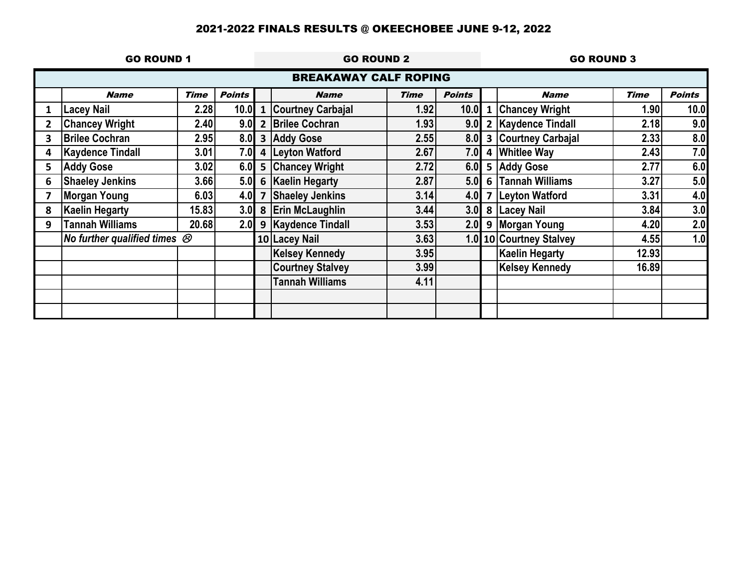|   | <b>GO ROUND 1</b>                        |             |               | <b>GO ROUND 2</b>       |                              |             |               |              | <b>GO ROUND 3</b><br><b>Points</b><br><b>Time</b><br><b>Name</b><br>1.90<br>10.0<br>9.0<br>2.18<br>8.0<br>2.33<br>7.0<br>2.43<br>6.0<br>2.77<br>5.0<br>3.27<br>4.0<br>3.31<br>3.0<br>3.84<br>2.0<br>4.20 |       |     |
|---|------------------------------------------|-------------|---------------|-------------------------|------------------------------|-------------|---------------|--------------|----------------------------------------------------------------------------------------------------------------------------------------------------------------------------------------------------------|-------|-----|
|   |                                          |             |               |                         | <b>BREAKAWAY CALF ROPING</b> |             |               |              |                                                                                                                                                                                                          |       |     |
|   | <b>Name</b>                              | <b>Time</b> | <b>Points</b> |                         | <b>Name</b>                  | <b>Time</b> | <b>Points</b> |              |                                                                                                                                                                                                          |       |     |
|   | <b>Lacey Nail</b>                        | 2.28        | 10.0          | $\mathbf{1}$            | <b>Courtney Carbajal</b>     | 1.92        | 10.0          | $\mathbf{1}$ | <b>Chancey Wright</b>                                                                                                                                                                                    |       |     |
|   | <b>Chancey Wright</b>                    | 2.40        | 9.0           |                         | 2 Brilee Cochran             | 1.93        | 9.0           |              | 2   Kaydence Tindall                                                                                                                                                                                     |       |     |
| 3 | <b>Brilee Cochran</b>                    | 2.95        | 8.0           |                         | 3 Addy Gose                  | 2.55        | 8.0           |              | 3 Courtney Carbajal                                                                                                                                                                                      |       |     |
|   | <b>Kaydence Tindall</b>                  | 3.01        | 7.0           |                         | 4 Leyton Watford             | 2.67        | 7.0           |              | 4 Whitlee Way                                                                                                                                                                                            |       |     |
| 5 | <b>Addy Gose</b>                         | 3.02        | 6.0           |                         | 5 Chancey Wright             | 2.72        | 6.0           |              | 5 Addy Gose                                                                                                                                                                                              |       |     |
| 6 | <b>Shaeley Jenkins</b>                   | 3.66        | 5.0           |                         | 6 Kaelin Hegarty             | 2.87        | 5.0           |              | 6 Tannah Williams                                                                                                                                                                                        |       |     |
|   | Morgan Young                             | 6.03        | 4.0           | $\overline{\mathbf{z}}$ | <b>Shaeley Jenkins</b>       | 3.14        | 4.0           |              | 7 Leyton Watford                                                                                                                                                                                         |       |     |
| 8 | <b>Kaelin Hegarty</b>                    | 15.83       | 3.0           |                         | 8 Erin McLaughlin            | 3.44        | 3.0           |              | 8 Lacey Nail                                                                                                                                                                                             |       |     |
| 9 | <b>Tannah Williams</b>                   | 20.68       | 2.0           |                         | 9 Kaydence Tindall           | 3.53        | 2.0           |              | 9 Morgan Young                                                                                                                                                                                           |       |     |
|   | No further qualified times $\mathcal{O}$ |             |               |                         | 10 Lacey Nail                | 3.63        |               |              | 1.0 10 Courtney Stalvey                                                                                                                                                                                  | 4.55  | 1.0 |
|   |                                          |             |               |                         | <b>Kelsey Kennedy</b>        | 3.95        |               |              | <b>Kaelin Hegarty</b>                                                                                                                                                                                    | 12.93 |     |
|   |                                          |             |               |                         | <b>Courtney Stalvey</b>      | 3.99        |               |              | <b>Kelsey Kennedy</b>                                                                                                                                                                                    | 16.89 |     |
|   |                                          |             |               |                         | <b>Tannah Williams</b>       | 4.11        |               |              |                                                                                                                                                                                                          |       |     |
|   |                                          |             |               |                         |                              |             |               |              |                                                                                                                                                                                                          |       |     |
|   |                                          |             |               |                         |                              |             |               |              |                                                                                                                                                                                                          |       |     |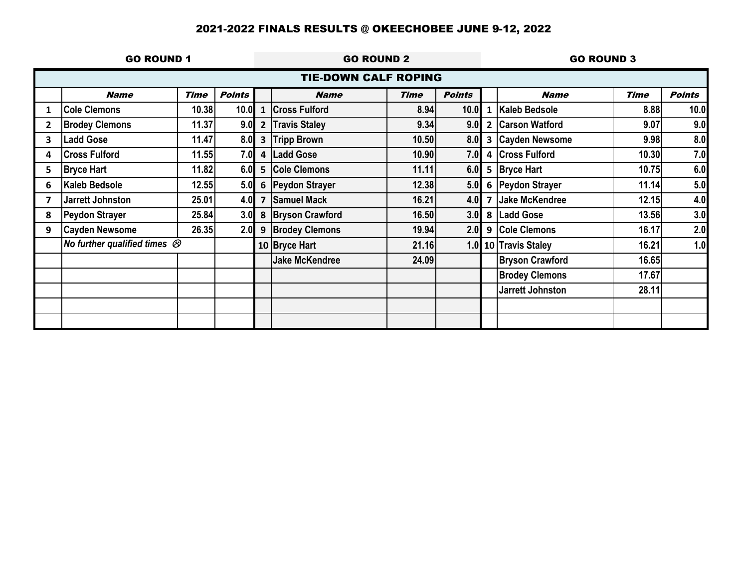|              | <b>GO ROUND 1</b>                        |             |               | <b>GO ROUND 2</b>       |                             |             |               |                | <b>GO ROUND 3</b>      |             |               |
|--------------|------------------------------------------|-------------|---------------|-------------------------|-----------------------------|-------------|---------------|----------------|------------------------|-------------|---------------|
|              |                                          |             |               |                         | <b>TIE-DOWN CALF ROPING</b> |             |               |                |                        |             |               |
|              | <b>Name</b>                              | <b>Time</b> | <b>Points</b> |                         | <b>Name</b>                 | <b>Time</b> | <b>Points</b> |                | <b>Name</b>            | <b>Time</b> | <b>Points</b> |
|              | <b>Cole Clemons</b>                      | 10.38       | 10.0          | $\mathbf{1}$            | <b>Cross Fulford</b>        | 8.94        | 10.0          | 1              | Kaleb Bedsole          | 8.88        | 10.0          |
| $\mathbf{2}$ | <b>Brodey Clemons</b>                    | 11.37       | 9.0           | $\overline{2}$          | <b>Travis Staley</b>        | 9.34        | 9.0           | $\overline{2}$ | <b>Carson Watford</b>  | 9.07        | 9.0           |
| 3            | <b>Ladd Gose</b>                         | 11.47       | 8.0           | $\overline{\mathbf{3}}$ | <b>Tripp Brown</b>          | 10.50       | 8.0           |                | 3 Cayden Newsome       | 9.98        | 8.0           |
| 4            | <b>Cross Fulford</b>                     | 11.55       | 7.0           |                         | 4 Ladd Gose                 | 10.90       | 7.0           | 4              | <b>Cross Fulford</b>   | 10.30       | 7.0           |
| 5.           | <b>Bryce Hart</b>                        | 11.82       | 6.0           | 5                       | <b>Cole Clemons</b>         | 11.11       | 6.0           |                | 5 Bryce Hart           | 10.75       | 6.0           |
| 6            | <b>Kaleb Bedsole</b>                     | 12.55       |               | $5.0$ 6                 | <b>Peydon Strayer</b>       | 12.38       |               |                | 5.0 6 Peydon Strayer   | 11.14       | 5.0           |
| 7            | Jarrett Johnston                         | 25.01       | 4.0           | $\overline{7}$          | <b>Samuel Mack</b>          | 16.21       | 4.0           | $\overline{7}$ | <b>Jake McKendree</b>  | 12.15       | 4.0           |
| 8            | <b>Peydon Strayer</b>                    | 25.84       |               |                         | 3.0 8 Bryson Crawford       | 16.50       |               |                | 3.0 8 Ladd Gose        | 13.56       | 3.0           |
| 9            | <b>Cayden Newsome</b>                    | 26.35       |               |                         | 2.0 9 Brodey Clemons        | 19.94       |               |                | 2.0 9 Cole Clemons     | 16.17       | 2.0           |
|              | No further qualified times $\mathcal{B}$ |             |               |                         | 10 Bryce Hart               | 21.16       |               |                | 1.0 10 Travis Staley   | 16.21       | 1.0           |
|              |                                          |             |               |                         | <b>Jake McKendree</b>       | 24.09       |               |                | <b>Bryson Crawford</b> | 16.65       |               |
|              |                                          |             |               |                         |                             |             |               |                | <b>Brodey Clemons</b>  | 17.67       |               |
|              |                                          |             |               |                         |                             |             |               |                | Jarrett Johnston       | 28.11       |               |
|              |                                          |             |               |                         |                             |             |               |                |                        |             |               |
|              |                                          |             |               |                         |                             |             |               |                |                        |             |               |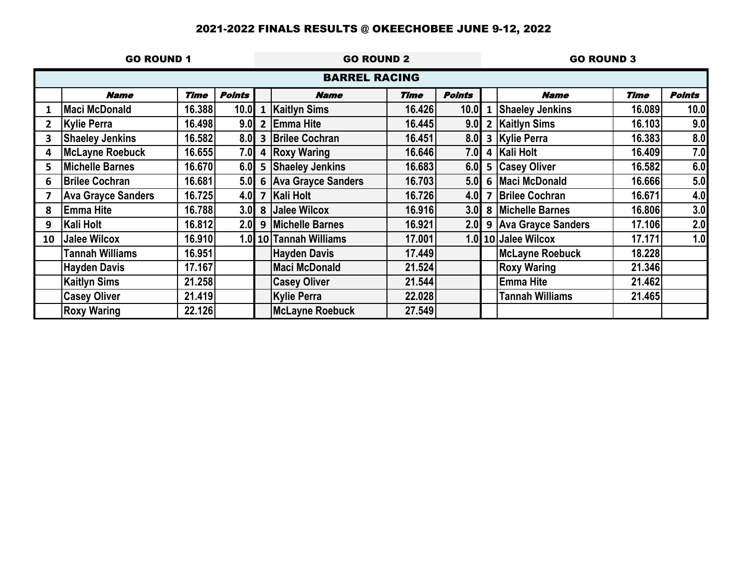|    | <b>GO ROUND 1</b>         |             |               | <b>GO ROUND 2</b>       |                        |             |               |                         | <b>GO ROUND 3</b><br><b>Time</b><br><b>Points</b><br><b>Name</b><br>16.089<br>10.0<br>9.0<br>16.103<br>8.0<br>16.383<br>7.0<br>16.409<br>6.0<br>16.582<br>5.0<br>16.666<br>4.0<br>16.671<br>3.0<br>16.806 |        |     |
|----|---------------------------|-------------|---------------|-------------------------|------------------------|-------------|---------------|-------------------------|-----------------------------------------------------------------------------------------------------------------------------------------------------------------------------------------------------------|--------|-----|
|    |                           |             |               |                         | <b>BARREL RACING</b>   |             |               |                         |                                                                                                                                                                                                           |        |     |
|    | <b>Name</b>               | <b>Time</b> | <b>Points</b> |                         | <b>Name</b>            | <b>Time</b> | <b>Points</b> |                         |                                                                                                                                                                                                           |        |     |
|    | <b>Maci McDonald</b>      | 16.388      | 10.0          | $\mathbf{1}$            | <b>Kaitlyn Sims</b>    | 16.426      | 10.0          | 1                       | <b>Shaeley Jenkins</b>                                                                                                                                                                                    |        |     |
|    | <b>Kylie Perra</b>        | 16.498      | 9.0           | $\overline{2}$          | <b>Emma Hite</b>       | 16.445      | 9.0           |                         | 2 Kaitlyn Sims                                                                                                                                                                                            |        |     |
| 3  | <b>Shaeley Jenkins</b>    | 16.582      | 8.0           |                         | 3 Brilee Cochran       | 16.451      | 8.0           |                         | 3 Kylie Perra                                                                                                                                                                                             |        |     |
| 4  | <b>McLayne Roebuck</b>    | 16.655      | 7.0           |                         | 4 Roxy Waring          | 16.646      | 7.0           |                         | 4 Kali Holt                                                                                                                                                                                               |        |     |
| 5  | <b>Michelle Barnes</b>    | 16.670      | 6.0           | $5\phantom{1}$          | <b>Shaeley Jenkins</b> | 16.683      | 6.0           |                         | 5 Casey Oliver                                                                                                                                                                                            |        |     |
| 6  | <b>Brilee Cochran</b>     | 16.681      | 5.0           |                         | 6 Ava Grayce Sanders   | 16.703      | 5.0           |                         | 6 Maci McDonald                                                                                                                                                                                           |        |     |
|    | <b>Ava Grayce Sanders</b> | 16.725      | 4.0           | $\overline{\mathbf{z}}$ | <b>Kali Holt</b>       | 16.726      | 4.0           | $\overline{\mathbf{z}}$ | <b>Brilee Cochran</b>                                                                                                                                                                                     |        |     |
| 8  | <b>Emma Hite</b>          | 16.788      | 3.0           |                         | 8 Jalee Wilcox         | 16.916      | 3.0           |                         | 8 Michelle Barnes                                                                                                                                                                                         |        |     |
| 9  | Kali Holt                 | 16.812      | 2.0           |                         | 9 Michelle Barnes      | 16.921      |               |                         | 2.0 9 Ava Grayce Sanders                                                                                                                                                                                  | 17.106 | 2.0 |
| 10 | <b>Jalee Wilcox</b>       | 16.910      |               |                         | 1.0 10 Tannah Williams | 17.001      |               |                         | 1.0 10 Jalee Wilcox                                                                                                                                                                                       | 17.171 | 1.0 |
|    | <b>Tannah Williams</b>    | 16.951      |               |                         | <b>Hayden Davis</b>    | 17.449      |               |                         | McLayne Roebuck                                                                                                                                                                                           | 18.228 |     |
|    | <b>Hayden Davis</b>       | 17.167      |               |                         | <b>Maci McDonald</b>   | 21.524      |               |                         | <b>Roxy Waring</b>                                                                                                                                                                                        | 21.346 |     |
|    | <b>Kaitlyn Sims</b>       | 21.258      |               |                         | <b>Casey Oliver</b>    | 21.544      |               |                         | <b>Emma Hite</b>                                                                                                                                                                                          | 21.462 |     |
|    | <b>Casey Oliver</b>       | 21.419      |               |                         | <b>Kylie Perra</b>     | 22.028      |               |                         | <b>Tannah Williams</b>                                                                                                                                                                                    | 21.465 |     |
|    | <b>Roxy Waring</b>        | 22.126      |               |                         | <b>McLayne Roebuck</b> | 27.549      |               |                         |                                                                                                                                                                                                           |        |     |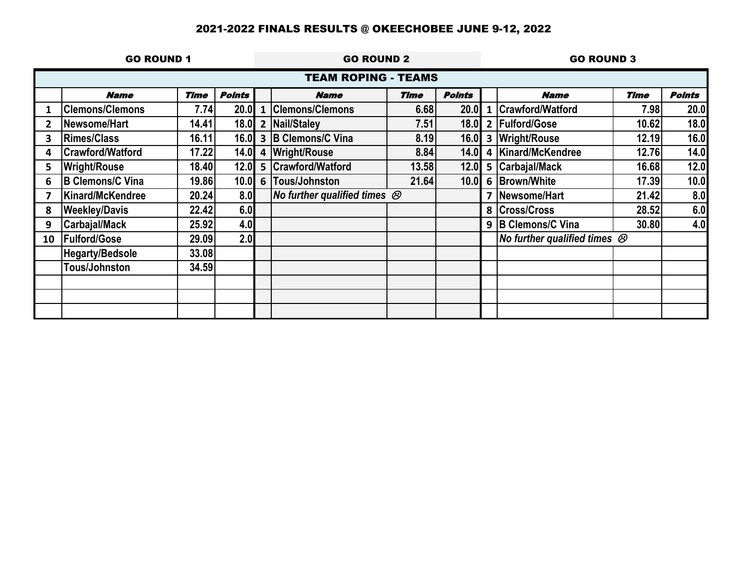|    | <b>GO ROUND 1</b>       |             |               | <b>GO ROUND 2</b> |                                      |       |               |              | <b>GO ROUND 3</b><br><b>Points</b><br><b>Name</b><br><b>Time</b><br>7.98<br>10.62<br>12.19<br>12.76<br>16.68<br>17.39<br>21.42<br>28.52<br>30.80<br>No further qualified times $\mathcal{O}$ |  |      |
|----|-------------------------|-------------|---------------|-------------------|--------------------------------------|-------|---------------|--------------|----------------------------------------------------------------------------------------------------------------------------------------------------------------------------------------------|--|------|
|    |                         |             |               |                   | <b>TEAM ROPING - TEAMS</b>           |       |               |              |                                                                                                                                                                                              |  |      |
|    | <b>Name</b>             | <b>Time</b> | <b>Points</b> |                   | <b>Name</b>                          | Time  | <b>Points</b> |              |                                                                                                                                                                                              |  |      |
|    | <b>Clemons/Clemons</b>  | 7.74        | <b>20.0</b>   | $\mathbf{1}$      | <b>Clemons/Clemons</b>               | 6.68  | 20.0          | $\mathbf{1}$ | Crawford/Watford                                                                                                                                                                             |  | 20.0 |
|    | Newsome/Hart            | 14.41       | 18.0          | $\overline{2}$    | Nail/Staley                          | 7.51  | <b>18.0</b>   |              | 2 Fulford/Gose                                                                                                                                                                               |  | 18.0 |
| 3  | <b>Rimes/Class</b>      | 16.11       |               |                   | 16.0 3 B Clemons/C Vina              | 8.19  | 16.0          |              | 3 Wright/Rouse                                                                                                                                                                               |  | 16.0 |
| 4  | <b>Crawford/Watford</b> | 17.22       | 14.0          |                   | 4 Wright/Rouse                       | 8.84  | 14.0          |              | 4 Kinard/McKendree                                                                                                                                                                           |  | 14.0 |
| 5. | <b>Wright/Rouse</b>     | 18.40       | 12.0          |                   | 5 Crawford/Watford                   | 13.58 | 12.0          |              | 5 Carbajal/Mack                                                                                                                                                                              |  | 12.0 |
| 6  | <b>B Clemons/C Vina</b> | 19.86       | 10.0          |                   | 6 Tous/Johnston                      | 21.64 | 10.0          |              | 6 Brown/White                                                                                                                                                                                |  | 10.0 |
|    | Kinard/McKendree        | 20.24       | 8.0           |                   | No further qualified times $\otimes$ |       |               |              | Newsome/Hart                                                                                                                                                                                 |  | 8.0  |
| 8  | <b>Weekley/Davis</b>    | 22.42       | 6.0           |                   |                                      |       |               |              | 8 Cross/Cross                                                                                                                                                                                |  | 6.0  |
| 9  | Carbajal/Mack           | 25.92       | 4.0           |                   |                                      |       |               |              | 9 B Clemons/C Vina                                                                                                                                                                           |  | 4.0  |
| 10 | <b>Fulford/Gose</b>     | 29.09       | 2.0           |                   |                                      |       |               |              |                                                                                                                                                                                              |  |      |
|    | <b>Hegarty/Bedsole</b>  | 33.08       |               |                   |                                      |       |               |              |                                                                                                                                                                                              |  |      |
|    | Tous/Johnston           | 34.59       |               |                   |                                      |       |               |              |                                                                                                                                                                                              |  |      |
|    |                         |             |               |                   |                                      |       |               |              |                                                                                                                                                                                              |  |      |
|    |                         |             |               |                   |                                      |       |               |              |                                                                                                                                                                                              |  |      |
|    |                         |             |               |                   |                                      |       |               |              |                                                                                                                                                                                              |  |      |